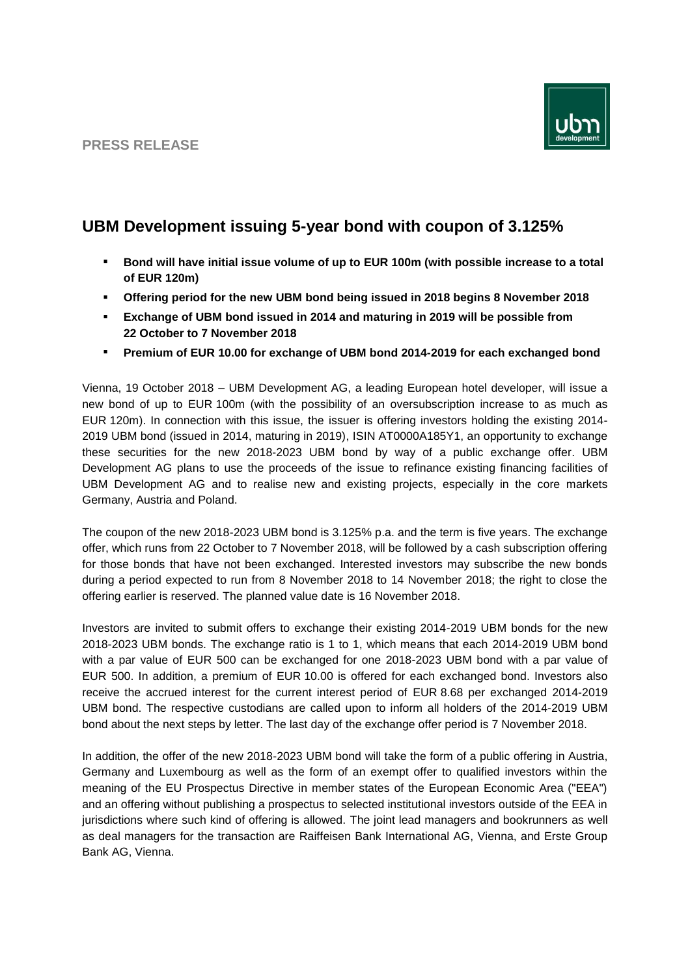**PRESS RELEASE**



# **UBM Development issuing 5-year bond with coupon of 3.125%**

- **Bond will have initial issue volume of up to EUR 100m (with possible increase to a total of EUR 120m)**
- **Offering period for the new UBM bond being issued in 2018 begins 8 November 2018**
- **Exchange of UBM bond issued in 2014 and maturing in 2019 will be possible from 22 October to 7 November 2018**
- **Premium of EUR 10.00 for exchange of UBM bond 2014-2019 for each exchanged bond**

Vienna, 19 October 2018 – UBM Development AG, a leading European hotel developer, will issue a new bond of up to EUR 100m (with the possibility of an oversubscription increase to as much as EUR 120m). In connection with this issue, the issuer is offering investors holding the existing 2014- 2019 UBM bond (issued in 2014, maturing in 2019), ISIN AT0000A185Y1, an opportunity to exchange these securities for the new 2018-2023 UBM bond by way of a public exchange offer. UBM Development AG plans to use the proceeds of the issue to refinance existing financing facilities of UBM Development AG and to realise new and existing projects, especially in the core markets Germany, Austria and Poland.

The coupon of the new 2018-2023 UBM bond is 3.125% p.a. and the term is five years. The exchange offer, which runs from 22 October to 7 November 2018, will be followed by a cash subscription offering for those bonds that have not been exchanged. Interested investors may subscribe the new bonds during a period expected to run from 8 November 2018 to 14 November 2018; the right to close the offering earlier is reserved. The planned value date is 16 November 2018.

Investors are invited to submit offers to exchange their existing 2014-2019 UBM bonds for the new 2018-2023 UBM bonds. The exchange ratio is 1 to 1, which means that each 2014-2019 UBM bond with a par value of EUR 500 can be exchanged for one 2018-2023 UBM bond with a par value of EUR 500. In addition, a premium of EUR 10.00 is offered for each exchanged bond. Investors also receive the accrued interest for the current interest period of EUR 8.68 per exchanged 2014-2019 UBM bond. The respective custodians are called upon to inform all holders of the 2014-2019 UBM bond about the next steps by letter. The last day of the exchange offer period is 7 November 2018.

In addition, the offer of the new 2018-2023 UBM bond will take the form of a public offering in Austria, Germany and Luxembourg as well as the form of an exempt offer to qualified investors within the meaning of the EU Prospectus Directive in member states of the European Economic Area ("EEA") and an offering without publishing a prospectus to selected institutional investors outside of the EEA in jurisdictions where such kind of offering is allowed. The joint lead managers and bookrunners as well as deal managers for the transaction are Raiffeisen Bank International AG, Vienna, and Erste Group Bank AG, Vienna.